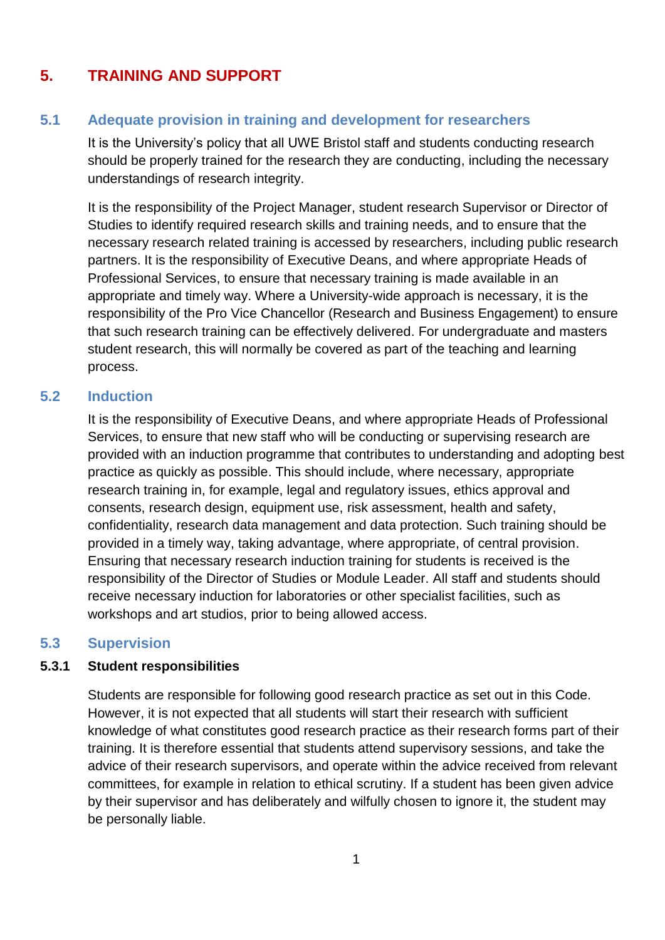# **5. TRAINING AND SUPPORT**

## **5.1 Adequate provision in training and development for researchers**

It is the University's policy that all UWE Bristol staff and students conducting research should be properly trained for the research they are conducting, including the necessary understandings of research integrity.

It is the responsibility of the Project Manager, student research Supervisor or Director of Studies to identify required research skills and training needs, and to ensure that the necessary research related training is accessed by researchers, including public research partners. It is the responsibility of Executive Deans, and where appropriate Heads of Professional Services, to ensure that necessary training is made available in an appropriate and timely way. Where a University-wide approach is necessary, it is the responsibility of the Pro Vice Chancellor (Research and Business Engagement) to ensure that such research training can be effectively delivered. For undergraduate and masters student research, this will normally be covered as part of the teaching and learning process.

### **5.2 Induction**

It is the responsibility of Executive Deans, and where appropriate Heads of Professional Services, to ensure that new staff who will be conducting or supervising research are provided with an induction programme that contributes to understanding and adopting best practice as quickly as possible. This should include, where necessary, appropriate research training in, for example, legal and regulatory issues, ethics approval and consents, research design, equipment use, risk assessment, health and safety, confidentiality, research data management and data protection. Such training should be provided in a timely way, taking advantage, where appropriate, of central provision. Ensuring that necessary research induction training for students is received is the responsibility of the Director of Studies or Module Leader. All staff and students should receive necessary induction for laboratories or other specialist facilities, such as workshops and art studios, prior to being allowed access.

### **5.3 Supervision**

#### **5.3.1 Student responsibilities**

Students are responsible for following good research practice as set out in this Code. However, it is not expected that all students will start their research with sufficient knowledge of what constitutes good research practice as their research forms part of their training. It is therefore essential that students attend supervisory sessions, and take the advice of their research supervisors, and operate within the advice received from relevant committees, for example in relation to ethical scrutiny. If a student has been given advice by their supervisor and has deliberately and wilfully chosen to ignore it, the student may be personally liable.